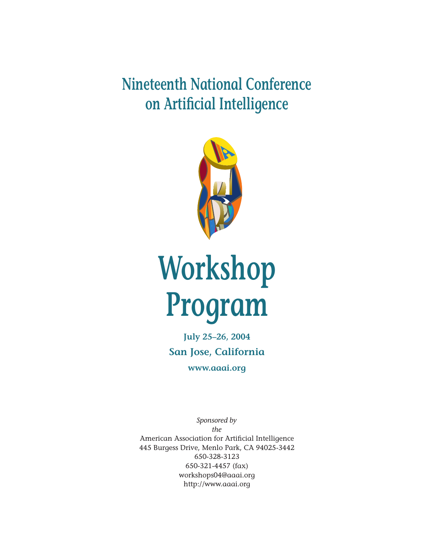**Nineteenth National Conference on Artificial Intelligence**



# **Workshop Program**

**July 25–26, 2004 San Jose, California www.aaai.org**

*Sponsored by the* American Association for Artificial Intelligence 445 Burgess Drive, Menlo Park, CA 94025-3442 650-328-3123 650-321-4457 (fax) workshops04@aaai.org http://www.aaai.org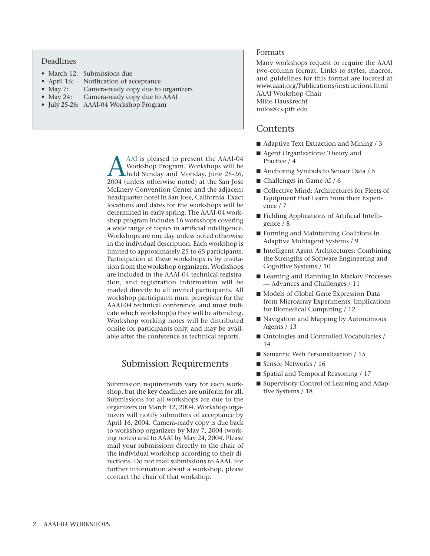# Deadlines

- March 12: Submissions due
- April 16: Notification of acceptance
- May 7: Camera-ready copy due to organizers
- May 24: Camera-ready copy due to AAAI
- July 25-26: AAAI-04 Workshop Program

AAI is pleased to present the AAAI-04<br>Workshop Program. Workshops will be<br>held Sunday and Monday, June 25-26,<br>2004 (unless otherwise noted) at the San Iose Workshop Program. Workshops will be held Sunday and Monday, June 25-26, 2004 (unless otherwise noted) at the San Jose McEnery Convention Center and the adjacent headquarter hotel in San Jose, California. Exact locations and dates for the workshops will be determined in early spring. The AAAI-04 workshop program includes 16 workshops covering a wide range of topics in artificial intelligence. Workshops are one day unless noted otherwise in the individual description. Each workshop is limited to approximately 25 to 65 participants. Participation at these workshops is by invitation from the workshop organizers. Workshops are included in the AAAI-04 technical registration, and registration information will be mailed directly to all invited participants. All workshop participants must preregister for the AAAI-04 technical conference, and must indicate which workshop(s) they will be attending. Workshop working notes will be distributed onsite for participants only, and may be available after the conference as technical reports.

# Submission Requirements

Submission requirements vary for each workshop, but the key deadlines are uniform for all. Submissions for all workshops are due to the organizers on March 12, 2004. Workshop organizers will notify submitters of acceptance by April 16, 2004. Camera-ready copy is due back to workshop organizers by May 7, 2004 (working notes) and to AAAI by May 24, 2004. Please mail your submissions directly to the chair of the individual workshop according to their directions. Do not mail submissions to AAAI. For further information about a workshop, please contact the chair of that workshop.

# Formats

Many workshops request or require the AAAI two-column format. Links to styles, macros, and guidelines for this format are located at www.aaai.org/Publications/instructions.html AAAI Workshop Chair Milos Hauskrecht milos@cs.pitt.edu

# Contents

- Adaptive Text Extraction and Mining / 3
- Agent Organizations: Theory and Practice / 4
- Anchoring Symbols to Sensor Data / 5
- Challenges in Game AI / 6
- Collective Mind: Architectures for Fleets of Equipment that Learn from their Experience / 7
- Fielding Applications of Artificial Intelligence / 8
- Forming and Maintaining Coalitions in Adaptive Multiagent Systems / 9
- Intelligent Agent Architectures: Combining the Strengths of Software Engineering and Cognitive Systems / 10
- Learning and Planning in Markov Processes — Advances and Challenges / 11
- Models of Global Gene Expression Data from Microarray Experiments: Implications for Biomedical Computing / 12
- Navigation and Mapping by Autonomous Agents / 13
- Ontologies and Controlled Vocabularies / 14
- Semantic Web Personalization / 15
- Sensor Networks / 16
- Spatial and Temporal Reasoning / 17
- Supervisory Control of Learning and Adaptive Systems / 18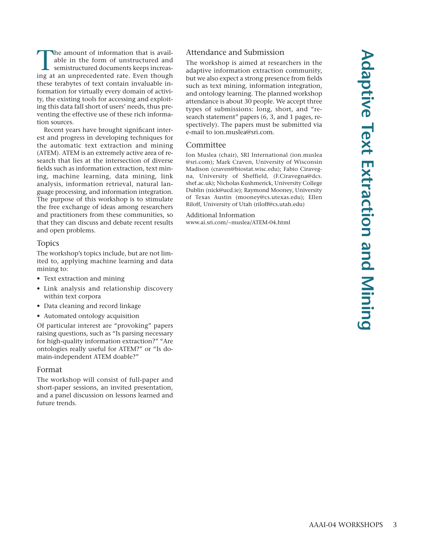The amount of information that is available in the form of unstructured and semistructured documents keeps increasing at an unprecedented rate. Even though these terabytes of text contain invaluable information for virtually every domain of activity, the existing tools for accessing and exploiting this data fall short of users' needs, thus preventing the effective use of these rich information sources. Recent years have brought significant inter-

est and progress in developing techniques for the automatic text extraction and mining (ATEM). ATEM is an extremely active area of research that lies at the intersection of diverse fields such as information extraction, text mining, machine learning, data mining, link analysis, information retrieval, natural language processing, and information integration. The purpose of this workshop is to stimulate the free exchange of ideas among researchers and practitioners from these communities, so that they can discuss and debate recent results and open problems.

# Topics

The workshop's topics include, but are not limited to, applying machine learning and data mining to:

- Text extraction and mining
- Link analysis and relationship discovery within text corpora
- Data cleaning and record linkage
- Automated ontology acquisition

Of particular interest are "provoking" papers raising questions, such as "Is parsing necessary for high-quality information extraction?" "Are ontologies really useful for ATEM?" or "Is domain-independent ATEM doable?"

# Format

The workshop will consist of full-paper and short-paper sessions, an invited presentation, and a panel discussion on lessons learned and future trends.

# Attendance and Submission

The workshop is aimed at researchers in the adaptive information extraction community, but we also expect a strong presence from fields such as text mining, information integration, and ontology learning. The planned workshop attendance is about 30 people. We accept three types of submissions: long, short, and "research statement" papers (6, 3, and 1 pages, respectively). The papers must be submitted via e-mail to ion.muslea@sri.com.

# Committee

Ion Muslea (chair), SRI International (ion.muslea @sri.com); Mark Craven, University of Wisconsin Madison (craven@biostat.wisc.edu); Fabio Ciravegna, University of Sheffield, (F.Ciravegna@dcs. shef.ac.uk); Nicholas Kushmerick, University College Dublin (nick@ucd.ie); Raymond Mooney, University of Texas Austin (mooney@cs.utexas.edu); Ellen Riloff, University of Utah (riloff@cs.utah.edu)

Additional Information www.ai.sri.com/~muslea/ATEM-04.html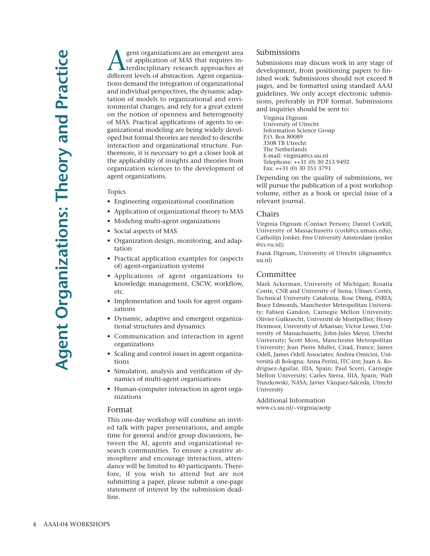gent organizations are an emergent area of application of MAS that requires interdisciplinary research approaches at different levels of abstraction. Agent organizations demand the integration of organizational and individual perspectives, the dynamic adaptation of models to organizational and environmental changes, and rely for a great extent on the notion of openness and heterogeneity of MAS. Practical applications of agents to organizational modeling are being widely developed but formal theories are needed to describe interaction and organizational structure. Furthermore, it is necessary to get a closer look at the applicability of insights and theories from organization sciences to the development of agent organizations.

#### Topics

- Engineering organizational coordination
- Application of organizational theory to MAS
- Modeling multi-agent organizations
- Social aspects of MAS
- Organization design, monitoring, and adaptation
- Practical application examples for (aspects of) agent-organization systems
- Applications of agent organizations to knowledge management, CSCW, workflow, etc.
- Implementation and tools for agent organizations
- Dynamic, adaptive and emergent organizational structures and dynamics
- Communication and interaction in agent organizations
- Scaling and control issues in agent organizations
- Simulation, analysis and verification of dynamics of multi-agent organizations
- Human-computer interaction in agent organizations

#### Format

This one-day workshop will combine an invited talk with paper presentations, and ample time for general and/or group discussions, between the AI, agents and organizational research communities. To ensure a creative atmosphere and encourage interaction, attendance will be limited to 40 participants. Therefore, if you wish to attend but are not submitting a paper, please submit a one-page statement of interest by the submission deadline.

## Submissions

Submissions may discuss work in any stage of development, from positioning papers to finished work. Submissions should not exceed 8 pages, and be formatted using standard AAAI guidelines. We only accept electronic submissions, preferably in PDF format. Submissions and inquiries should be sent to:

Virginia Dignum University of Utrecht Information Science Group P.O. Box 80089 3508 TB Utrecht The Netherlands E-mail: virginia@cs.uu.nl Telephone: ++31 (0) 30 253 9492 Fax: ++31 (0) 30 351 3791

Depending on the quality of submissions, we will pursue the publication of a post workshop volume, either as a book or special issue of a relevant journal.

#### Chairs

Virginia Dignum (Contact Person); Daniel Corkill, University of Massachusetts (cork@cs.umass.edu); Catholijn Jonker, Free University Amsterdam (jonker @cs.vu.nl);

Frank Dignum, University of Utrecht (dignum@cs. uu.nl)

# Committee

Mark Ackerman, University of Michigan; Rosaria Conte, CNR and University of Siena; Ulisses Cortés, Technical University Catalonia; Rose Dieng, INRIA; Bruce Edmonds, Manchester Metropolitan University; Fabien Gandon, Carnegie Mellon University; Olivier Gutknecht, Université de Montpellier; Henry Hexmoor, University of Arkansas; Victor Lesser, University of Massachusetts; John-Jules Meyer, Utrecht University; Scott Moss, Manchester Metropolitan University; Jean Pierre Muller, Cirad, France; James Odell, James Odell Associates; Andrea Omicini, Università di Bologna; Anna Perini, ITC-irst; Juan A. Rodríguez-Aguilar, IIIA, Spain; Paul Scerri, Carnegie Mellon University; Carles Sierra, IIIA, Spain; Walt Truszkowski, NASA; Javier Vázquez-Salceda, Utrecht University

Additional Information www.cs.uu.nl/~virginia/aotp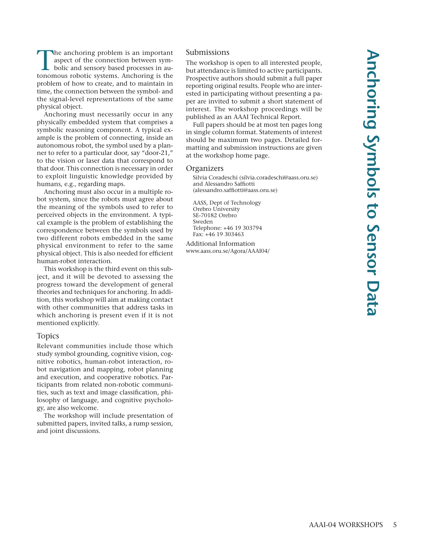The anchoring problem is an important aspect of the connection between symbolic and sensory based processes in autonomous robotic systems. Anchoring is the problem of how to create, and to maintain in time, the connection between the symbol- and the signal-level representations of the same physical object.

Anchoring must necessarily occur in any physically embedded system that comprises a symbolic reasoning component. A typical example is the problem of connecting, inside an autonomous robot, the symbol used by a planner to refer to a particular door, say "door-21," to the vision or laser data that correspond to that door. This connection is necessary in order to exploit linguistic knowledge provided by humans, e.g., regarding maps.

Anchoring must also occur in a multiple robot system, since the robots must agree about the meaning of the symbols used to refer to perceived objects in the environment. A typical example is the problem of establishing the correspondence between the symbols used by two different robots embedded in the same physical environment to refer to the same physical object. This is also needed for efficient human-robot interaction.

This workshop is the third event on this subject, and it will be devoted to assessing the progress toward the development of general theories and techniques for anchoring. In addition, this workshop will aim at making contact with other communities that address tasks in which anchoring is present even if it is not mentioned explicitly.

## Topics

Relevant communities include those which study symbol grounding, cognitive vision, cognitive robotics, human-robot interaction, robot navigation and mapping, robot planning and execution, and cooperative robotics. Participants from related non-robotic communities, such as text and image classification, philosophy of language, and cognitive psychology, are also welcome.

The workshop will include presentation of submitted papers, invited talks, a rump session, and joint discussions.

# Submissions

The workshop is open to all interested people, but attendance is limited to active participants. Prospective authors should submit a full paper reporting original results. People who are interested in participating without presenting a paper are invited to submit a short statement of interest. The workshop proceedings will be published as an AAAI Technical Report.

Full papers should be at most ten pages long in single column format. Statements of interest should be maximum two pages. Detailed formatting and submission instructions are given at the workshop home page.

#### **Organizers**

Silvia Coradeschi (silvia.coradeschi@aass.oru.se) and Alessandro Saffiotti (alessandro.saffiotti@aass.oru.se)

AASS, Dept of Technology Orebro University SE-70182 Orebro Sweden Telephone: +46 19 303794 Fax: +46 19 303463

Additional Information www.aass.oru.se/Agora/AAAI04/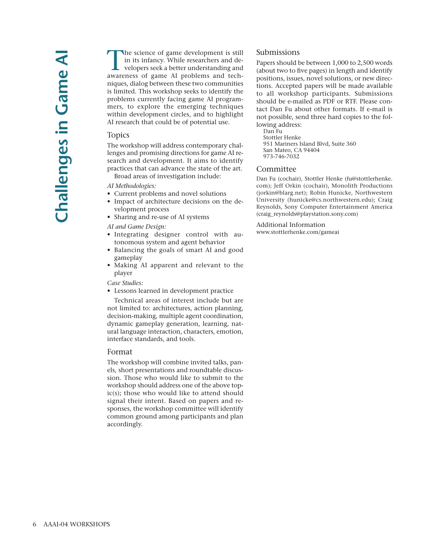The science of game development is still in its infancy. While researchers and developers seek a better understanding and awareness of game AI problems and techniques, dialog between these two communities is limited. This workshop seeks to identify the problems currently facing game AI programmers, to explore the emerging techniques within development circles, and to highlight AI research that could be of potential use.

#### Topics

The workshop will address contemporary challenges and promising directions for game AI research and development. It aims to identify practices that can advance the state of the art.

Broad areas of investigation include:

*AI Methodologies:*

- Current problems and novel solutions
- Impact of architecture decisions on the development process
- Sharing and re-use of AI systems

*AI and Game Design:*

- Integrating designer control with autonomous system and agent behavior
- Balancing the goals of smart AI and good gameplay
- Making AI apparent and relevant to the player

#### *Case Studies:*

• Lessons learned in development practice

Technical areas of interest include but are not limited to: architectures, action planning, decision-making, multiple agent coordination, dynamic gameplay generation, learning, natural language interaction, characters, emotion, interface standards, and tools.

#### Format

The workshop will combine invited talks, panels, short presentations and roundtable discussion. Those who would like to submit to the workshop should address one of the above topic(s); those who would like to attend should signal their intent. Based on papers and responses, the workshop committee will identify common ground among participants and plan accordingly.

## Submissions

Papers should be between 1,000 to 2,500 words (about two to five pages) in length and identify positions, issues, novel solutions, or new directions. Accepted papers will be made available to all workshop participants. Submissions should be e-mailed as PDF or RTF. Please contact Dan Fu about other formats. If e-mail is not possible, send three hard copies to the following address:

Dan Fu Stottler Henke

951 Mariners Island Blvd, Suite 360 San Mateo, CA 94404 973-746-7032

## Committee

Dan Fu (cochair), Stottler Henke (fu@stottlerhenke. com); Jeff Orkin (cochair), Monolith Productions (jorkin@blarg.net); Robin Hunicke, Northwestern University (hunicke@cs.northwestern.edu); Craig Reynolds, Sony Computer Entertainment America (craig\_reynolds@playstation.sony.com)

Additional Information www.stottlerhenke.com/gameai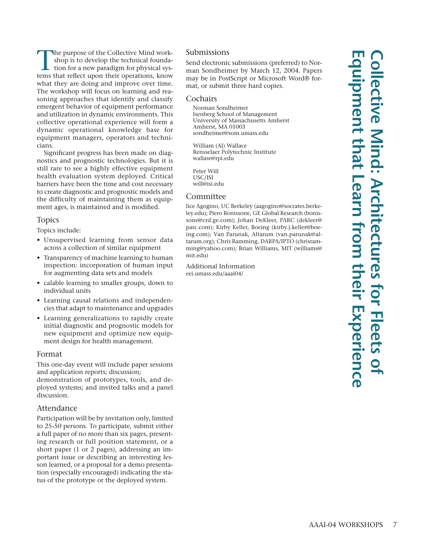The purpose of the Collective Mind workshop is to develop the technical foundation for a new paradigm for physical systems that reflect upon their operations, know what they are doing and improve over time. The workshop will focus on learning and reasoning approaches that identify and classify emergent behavior of equipment performance and utilization in dynamic environments. This collective operational experience will form a dynamic operational knowledge base for equipment managers, operators and technicians.

Significant progress has been made on diagnostics and prognostic technologies. But it is still rare to see a highly effective equipment health evaluation system deployed. Critical barriers have been the time and cost necessary to create diagnostic and prognostic models and the difficulty of maintaining them as equipment ages, is maintained and is modified.

## Topics

Topics include:

- Unsupervised learning from sensor data across a collection of similar equipment
- Transparency of machine learning to human inspection: incorporation of human input for augmenting data sets and models
- calable learning to smaller groups, down to individual units
- Learning causal relations and independencies that adapt to maintenance and upgrades
- Learning generalizations to rapidly create initial diagnostic and prognostic models for new equipment and optimize new equipment design for health management.

## Format

This one-day event will include paper sessions and application reports; discussion;

demonstration of prototypes, tools, and deployed systems; and invited talks and a panel discussion.

## Attendance

Participation will be by invitation only, limited to 25-50 persons. To participate, submit either a full paper of no more than six pages, presenting research or full position statement, or a short paper (1 or 2 pages), addressing an important issue or describing an interesting lesson learned, or a proposal for a demo presentation (especially encouraged) indicating the status of the prototype or the deployed system.

# Submissions

Send electronic submissions (preferred) to Norman Sondheimer by March 12, 2004. Papers may be in PostScript or Microsoft Word® format, or submit three hard copies.

#### Cochairs

Norman Sondheimer Isenberg School of Management University of Massachusetts Amherst Amherst, MA 01003 sondheimer@som.umass.edu

William (Al) Wallace Rensselaer Polytechnic Institute wallaw@rpi.edu

Peter Will USC/ISI will@isi.edu

## Committee

lice Agogino, UC Berkeley (aagogino@socrates.berkeley.edu); Piero Bonissone, GE Global Research (bonissone@crd.ge.com); Johan DeKleer, PARC (dekleer@ parc.com); Kirby Keller, Boeing (kirby.j.keller@boeing.com); Van Parunak, Altarum (van.parunak@altarum.org); Chris Ramming, DARPA/IPTO (chrisramming@yahoo.com); Brian Williams, MIT (williams@ mit.edu)

Additional Information eei.umass.edu/aaai04/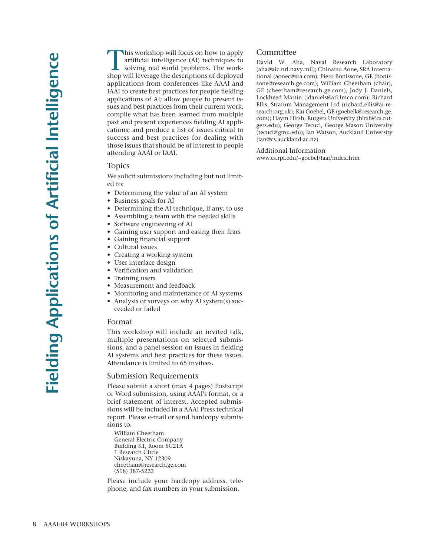In workshop will focus on how to apply artificial intelligence (AI) techniques to solving real world problems. The workshop will leverage the descriptions of deployed applications from conferences like AAAI and IAAI to create best practices for people fielding applications of AI; allow people to present issues and best practices from their current work; compile what has been learned from multiple past and present experiences fielding AI applications; and produce a list of issues critical to success and best practices for dealing with those issues that should be of interest to people attending AAAI or IAAI.

# Topics

We solicit submissions including but not limited to:

- Determining the value of an AI system
- Business goals for AI
- Determining the AI technique, if any, to use
- Assembling a team with the needed skills
- Software engineering of AI
- Gaining user support and easing their fears
- Gaining financial support
- Cultural issues
- Creating a working system
- User interface design
- Verification and validation
- Training users
- Measurement and feedback
- Monitoring and maintenance of AI systems
- Analysis or surveys on why AI system(s) succeeded or failed

#### Format

This workshop will include an invited talk, multiple presentations on selected submissions, and a panel session on issues in fielding AI systems and best practices for these issues. Attendance is limited to 65 invitees.

#### Submission Requirements

Please submit a short (max 4 pages) Postscript or Word submission, using AAAI's format, or a brief statement of interest. Accepted submissions will be included in a AAAI Press technical report. Please e-mail or send hardcopy submissions to:

William Cheetham General Electric Company Building K1, Room 5C21A 1 Research Circle Niskayuna, NY 12309 cheetham@research.ge.com (518) 387-5222

Please include your hardcopy address, telephone, and fax numbers in your submission.

# Committee

David W. Aha, Naval Research Laboratory (aha@aic.nrl.navy.mil); Chinatsu Aone, SRA International (aonec@sra.com); Piero Bonissone, GE (bonissone@research.ge.com); William Cheetham (chair), GE (cheetham@research.ge.com); Jody J. Daniels, Lockheed Martin (jdaniels@atl.lmco.com); Richard Ellis, Stratum Management Ltd (richard.ellis@ai-research.org.uk); Kai Goebel, GE (goebelk@research.ge. com); Haym Hirsh, Rutgers University (hirsh@cs.rutgers.edu); George Tecuci, George Mason University (tecuci@gmu.edu); Ian Watson, Auckland University (ian@cs.auckland.ac.nz)

Additional Information www.cs.rpi.edu/~goebel/faai/index.htm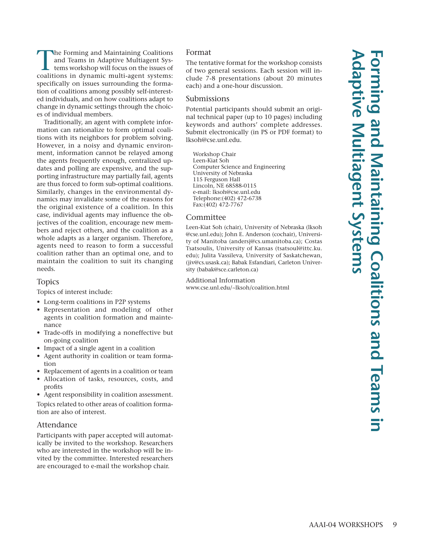The Forming and Maintaining Coalitions and Teams in Adaptive Multiagent Systems workshop will focus on the issues of coalitions in dynamic multi-agent systems: specifically on issues surrounding the formation of coalitions among possibly self-interested individuals, and on how coalitions adapt to change in dynamic settings through the choices of individual members.

Traditionally, an agent with complete information can rationalize to form optimal coalitions with its neighbors for problem solving. However, in a noisy and dynamic environment, information cannot be relayed among the agents frequently enough, centralized updates and polling are expensive, and the supporting infrastructure may partially fail, agents are thus forced to form sub-optimal coalitions. Similarly, changes in the environmental dynamics may invalidate some of the reasons for the original existence of a coalition. In this case, individual agents may influence the objectives of the coalition, encourage new members and reject others, and the coalition as a whole adapts as a larger organism. Therefore, agents need to reason to form a successful coalition rather than an optimal one, and to maintain the coalition to suit its changing needs.

# Topics

Topics of interest include:

- Long-term coalitions in P2P systems
- Representation and modeling of other agents in coalition formation and maintenance
- Trade-offs in modifying a noneffective but on-going coalition
- Impact of a single agent in a coalition
- Agent authority in coalition or team formation
- Replacement of agents in a coalition or team
- Allocation of tasks, resources, costs, and profits

• Agent responsibility in coalition assessment.

Topics related to other areas of coalition formation are also of interest.

# Attendance

Participants with paper accepted will automatically be invited to the workshop. Researchers who are interested in the workshop will be invited by the committee. Interested researchers are encouraged to e-mail the workshop chair.

# Format

The tentative format for the workshop consists of two general sessions. Each session will include 7-8 presentations (about 20 minutes each) and a one-hour discussion.

#### Submissions

Potential participants should submit an original technical paper (up to 10 pages) including keywords and authors' complete addresses. Submit electronically (in PS or PDF format) to lksoh@cse.unl.edu.

Workshop Chair Leen-Kiat Soh Computer Science and Engineering University of Nebraska 115 Ferguson Hall Lincoln, NE 68588-0115 e-mail: lksoh@cse.unl.edu Telephone:(402) 472-6738 Fax:(402) 472-7767

# Committee

Leen-Kiat Soh (chair), University of Nebraska (lksoh @cse.unl.edu); John E. Anderson (cochair), University of Manitoba (andersj@cs.umanitoba.ca); Costas Tsatsoulis, University of Kansas (tsatsoul@ittc.ku. edu); Julita Vassileva, University of Saskatchewan, (jiv@cs.usask.ca); Babak Esfandiari, Carleton University (babak@sce.carleton.ca)

Additional Information www.cse.unl.edu/~lksoh/coalition.html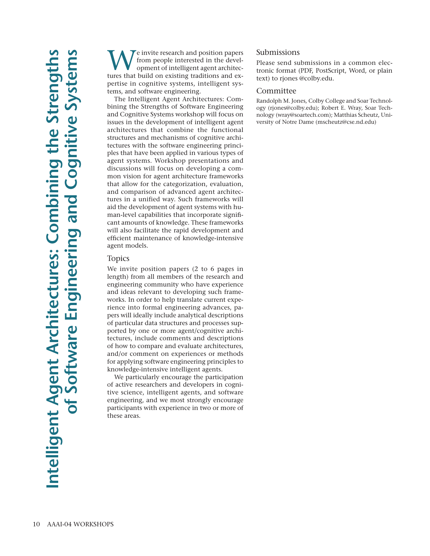We invite research and position papers<br>from people interested in the devel-<br>opment of intelligent agent architec-<br>tures that build on existing traditions and exfrom people interested in the development of intelligent agent architectures that build on existing traditions and expertise in cognitive systems, intelligent systems, and software engineering.

The Intelligent Agent Architectures: Combining the Strengths of Software Engineering and Cognitive Systems workshop will focus on issues in the development of intelligent agent architectures that combine the functional structures and mechanisms of cognitive architectures with the software engineering principles that have been applied in various types of agent systems. Workshop presentations and discussions will focus on developing a common vision for agent architecture frameworks that allow for the categorization, evaluation, and comparison of advanced agent architectures in a unified way. Such frameworks will aid the development of agent systems with human-level capabilities that incorporate significant amounts of knowledge. These frameworks will also facilitate the rapid development and efficient maintenance of knowledge-intensive agent models.

# Topics

We invite position papers (2 to 6 pages in length) from all members of the research and engineering community who have experience and ideas relevant to developing such frameworks. In order to help translate current experience into formal engineering advances, papers will ideally include analytical descriptions of particular data structures and processes supported by one or more agent/cognitive architectures, include comments and descriptions of how to compare and evaluate architectures, and/or comment on experiences or methods for applying software engineering principles to knowledge-intensive intelligent agents.

We particularly encourage the participation of active researchers and developers in cognitive science, intelligent agents, and software engineering, and we most strongly encourage participants with experience in two or more of these areas.

# Submissions

Please send submissions in a common electronic format (PDF, PostScript, Word, or plain text) to rjones @colby.edu.

## Committee

Randolph M. Jones, Colby College and Soar Technology (rjones@colby.edu); Robert E. Wray, Soar Technology (wray@soartech.com); Matthias Scheutz, University of Notre Dame (mscheutz@cse.nd.edu)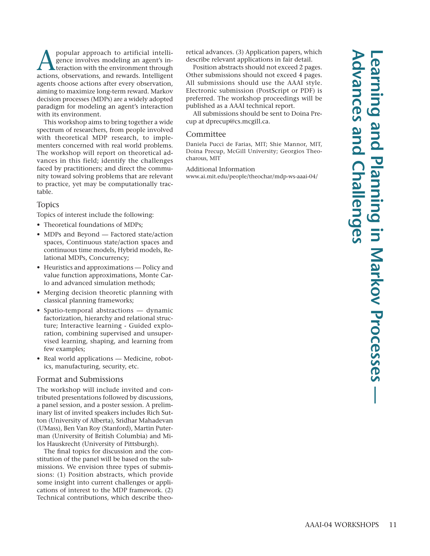popular approach to artificial intelli-<br>gence involves modeling an agent's in-<br>teraction with the environment through<br>actions observations and rewards Intelligent gence involves modeling an agent's inactions, observations, and rewards. Intelligent agents choose actions after every observation, aiming to maximize long-term reward. Markov decision processes (MDPs) are a widely adopted paradigm for modeling an agent's interaction with its environment.

This workshop aims to bring together a wide spectrum of researchers, from people involved with theoretical MDP research, to implementers concerned with real world problems. The workshop will report on theoretical advances in this field; identify the challenges faced by practitioners; and direct the community toward solving problems that are relevant to practice, yet may be computationally tractable.

# Topics

Topics of interest include the following:

- Theoretical foundations of MDPs;
- MDPs and Beyond Factored state/action spaces, Continuous state/action spaces and continuous time models, Hybrid models, Relational MDPs, Concurrency;
- Heuristics and approximations Policy and value function approximations, Monte Carlo and advanced simulation methods;
- Merging decision theoretic planning with classical planning frameworks;
- Spatio-temporal abstractions dynamic factorization, hierarchy and relational structure; Interactive learning - Guided exploration, combining supervised and unsupervised learning, shaping, and learning from few examples;
- Real world applications Medicine, robotics, manufacturing, security, etc.

# Format and Submissions

The workshop will include invited and contributed presentations followed by discussions, a panel session, and a poster session. A preliminary list of invited speakers includes Rich Sutton (University of Alberta), Sridhar Mahadevan (UMass), Ben Van Roy (Stanford), Martin Puterman (University of British Columbia) and Milos Hauskrecht (University of Pittsburgh).

The final topics for discussion and the constitution of the panel will be based on the submissions. We envision three types of submissions: (1) Position abstracts, which provide some insight into current challenges or applications of interest to the MDP framework. (2) Technical contributions, which describe theoretical advances. (3) Application papers, which describe relevant applications in fair detail.

Position abstracts should not exceed 2 pages. Other submissions should not exceed 4 pages. All submissions should use the AAAI style. Electronic submission (PostScript or PDF) is preferred. The workshop proceedings will be published as a AAAI technical report.

All submissions should be sent to Doina Precup at dprecup@cs.mcgill.ca.

## Committee

Daniela Pucci de Farias, MIT; Shie Mannor, MIT, Doina Precup, McGill University; Georgios Theocharous, MIT

#### Additional Information

www.ai.mit.edu/people/theochar/mdp-ws-aaai-04/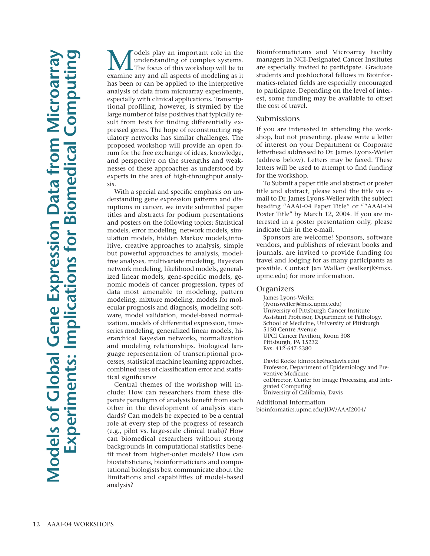**M** odels play an important role in the understanding of complex systems.<br>The focus of this workshop will be to examine any and all aspects of modeling as it understanding of complex systems. examine any and all aspects of modeling as it has been or can be applied to the interpretive analysis of data from microarray experiments, especially with clinical applications. Transcriptional profiling, however, is stymied by the large number of false positives that typically result from tests for finding differentially expressed genes. The hope of reconstructing regulatory networks has similar challenges. The proposed workshop will provide an open forum for the free exchange of ideas, knowledge, and perspective on the strengths and weaknesses of these approaches as understood by experts in the area of high-throughput analysis.

With a special and specific emphasis on understanding gene expression patterns and disruptions in cancer, we invite submitted paper titles and abstracts for podium presentations and posters on the following topics: Statistical models, error modeling, network models, simulation models, hidden Markov models,intuitive, creative approaches to analysis, simple but powerful approaches to analysis, modelfree analyses, multivariate modeling, Bayesian network modeling, likelihood models, generalized linear models, gene-specific models, genomic models of cancer progression, types of data most amenable to modeling, pattern modeling, mixture modeling, models for molecular prognosis and diagnosis, modeling software, model validation, model-based normalization, models of differential expression, timeseries modeling, generalized linear models, hierarchical Bayesian networks, normalization and modeling relationships. biological language representation of transcriptional processes, statistical machine learning approaches, combined uses of classification error and statistical significance

Central themes of the workshop will include: How can researchers from these disparate paradigms of analysis benefit from each other in the development of analysis standards? Can models be expected to be a central role at every step of the progress of research (e.g., pilot vs. large-scale clinical trials)? How can biomedical researchers without strong backgrounds in computational statistics benefit most from higher-order models? How can biostatisticians, bioinformaticians and computational biologists best communicate about the limitations and capabilities of model-based analysis?

Bioinformaticians and Microarray Facility managers in NCI-Designated Cancer Institutes are especially invited to participate. Graduate students and postdoctoral fellows in Bioinformatics-related fields are especially encouraged to participate. Depending on the level of interest, some funding may be available to offset the cost of travel.

## Submissions

If you are interested in attending the workshop, but not presenting, please write a letter of interest on your Department or Corporate letterhead addressed to Dr. James Lyons-Weiler (address below). Letters may be faxed. These letters will be used to attempt to find funding for the workshop.

To Submit a paper title and abstract or poster title and abstract, please send the title via email to Dr. James Lyons-Weiler with the subject heading "AAAI-04 Paper Title" or ""AAAI-04 Poster Title" by March 12, 2004. If you are interested in a poster presentation only, please indicate this in the e-mail.

Sponsors are welcome! Sponsors, software vendors, and publishers of relevant books and journals, are invited to provide funding for travel and lodging for as many participants as possible. Contact Jan Walker (walkerjl@msx. upmc.edu) for more information.

## **Organizers**

James Lyons-Weiler (lyonsweilerj@msx.upmc.edu) University of Pittsburgh Cancer Institute Assistant Professor, Department of Pathology, School of Medicine, University of Pittsburgh 5150 Centre Avenue UPCI Cancer Pavilion, Room 308 Pittsburgh, PA 15232 Fax: 412-647-5380

David Rocke (dmrocke@ucdavis.edu) Professor, Department of Epidemiology and Preventive Medicine coDirector, Center for Image Processing and Integrated Computing University of California, Davis

Additional Information bioinformatics.upmc.edu/JLW/AAAI2004/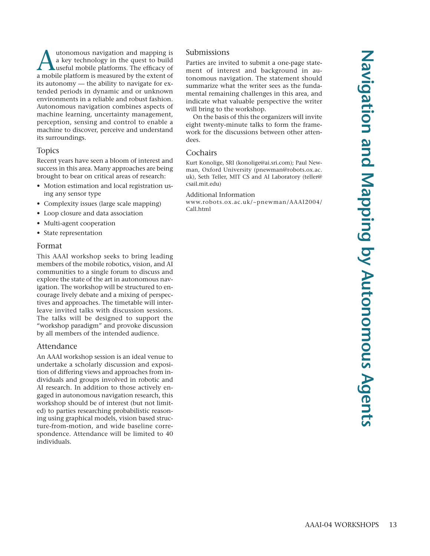Autonomous navigation and mapping is<br>
a key technology in the quest to build<br>
useful mobile platforms. The efficacy of<br>
a mobile platform is measured by the extent of a key technology in the quest to build a mobile platform is measured by the extent of its autonomy — the ability to navigate for extended periods in dynamic and or unknown environments in a reliable and robust fashion. Autonomous navigation combines aspects of machine learning, uncertainty management, perception, sensing and control to enable a machine to discover, perceive and understand its surroundings.

# Topics

Recent years have seen a bloom of interest and success in this area. Many approaches are being brought to bear on critical areas of research:

- Motion estimation and local registration using any sensor type
- Complexity issues (large scale mapping)
- Loop closure and data association
- Multi-agent cooperation
- State representation

# Format

This AAAI workshop seeks to bring leading members of the mobile robotics, vision, and AI communities to a single forum to discuss and explore the state of the art in autonomous navigation. The workshop will be structured to encourage lively debate and a mixing of perspectives and approaches. The timetable will interleave invited talks with discussion sessions. The talks will be designed to support the "workshop paradigm" and provoke discussion by all members of the intended audience.

# Attendance

An AAAI workshop session is an ideal venue to undertake a scholarly discussion and exposition of differing views and approaches from individuals and groups involved in robotic and AI research. In addition to those actively engaged in autonomous navigation research, this workshop should be of interest (but not limited) to parties researching probabilistic reasoning using graphical models, vision based structure-from-motion, and wide baseline correspondence. Attendance will be limited to 40 individuals.

# Submissions

Parties are invited to submit a one-page statement of interest and background in autonomous navigation. The statement should summarize what the writer sees as the fundamental remaining challenges in this area, and indicate what valuable perspective the writer will bring to the workshop.

On the basis of this the organizers will invite eight twenty-minute talks to form the framework for the discussions between other attendees.

# **Cochairs**

Kurt Konolige, SRI (konolige@ai.sri.com); Paul Newman, Oxford University (pnewman@robots.ox.ac. uk), Seth Teller, MIT CS and AI Laboratory (teller@ csail.mit.edu)

# Additional Information

www.robots.ox.ac.uk/~pnewman/AAAI2004/ Call.html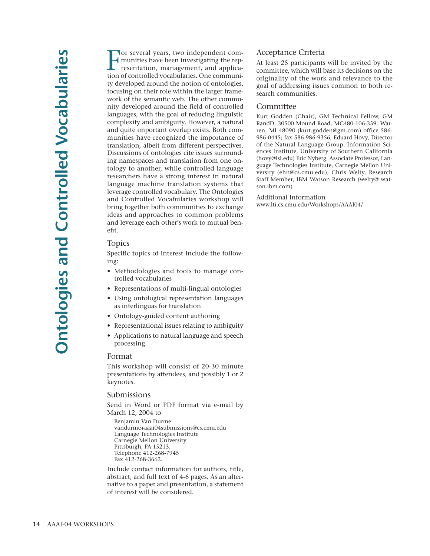Tor several years, two independent communities have been investigating the representation, management, and application of controlled vocabularies. One communior several years, two independent communities have been investigating the representation, management, and applicaty developed around the notion of ontologies, focusing on their role within the larger framework of the semantic web. The other community developed around the field of controlled languages, with the goal of reducing linguistic complexity and ambiguity. However, a natural and quite important overlap exists. Both communities have recognized the importance of translation, albeit from different perspectives. Discussions of ontologies cite issues surrounding namespaces and translation from one ontology to another, while controlled language researchers have a strong interest in natural language machine translation systems that leverage controlled vocabulary. The Ontologies and Controlled Vocabularies workshop will bring together both communities to exchange ideas and approaches to common problems and leverage each other's work to mutual benefit.

# Topics

Specific topics of interest include the following:

- Methodologies and tools to manage controlled vocabularies
- Representations of multi-lingual ontologies
- Using ontological representation languages as interlinguas for translation
- Ontology-guided content authoring
- Representational issues relating to ambiguity
- Applications to natural language and speech processing.

#### Format

This workshop will consist of 20-30 minute presentations by attendees, and possibly 1 or 2 keynotes.

#### Submissions

Send in Word or PDF format via e-mail by March 12, 2004 to

Benjamin Van Durme vandurme+aaai04submissions@cs.cmu.edu Language Technologies Institute Carnegie Mellon University Pittsburgh, PA 15213. Telephone 412-268-7945 Fax 412-268-3662.

Include contact information for authors, title, abstract, and full text of 4-6 pages. As an alternative to a paper and presentation, a statement of interest will be considered.

#### Acceptance Criteria

At least 25 participants will be invited by the committee, which will base its decisions on the originality of the work and relevance to the goal of addressing issues common to both research communities.

#### Committee

Kurt Godden (Chair), GM Technical Fellow, GM RandD, 30500 Mound Road, MC480-106-359, Warren, MI 48090 (kurt.godden@gm.com) office 586- 986-0445; fax 586-986-9356; Eduard Hovy, Director of the Natural Language Group, Information Sciences Institute, University of Southern California (hovy@isi.edu) Eric Nyberg, Associate Professor, Language Technologies Institute, Carnegie Mellon University (ehn@cs.cmu.edu); Chris Welty, Research Staff Member, IBM Watson Research (welty@ watson.ibm.com)

Additional Information www.lti.cs.cmu.edu/Workshops/AAAI04/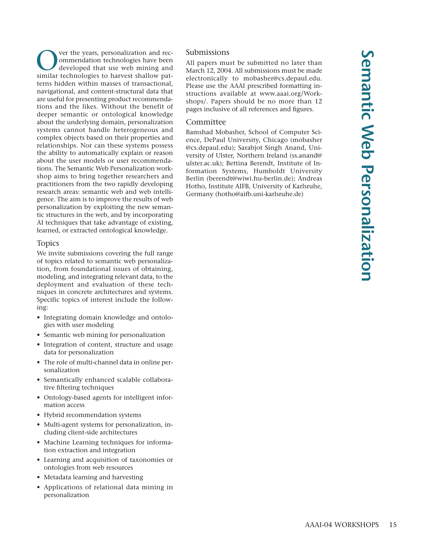ver the years, personalization and recommendation technologies have been developed that use web mining and similar technologies to harvest shallow patterns hidden within masses of transactional, navigational, and content-structural data that are useful for presenting product recommendations and the likes. Without the benefit of deeper semantic or ontological knowledge about the underlying domain, personalization systems cannot handle heterogeneous and complex objects based on their properties and relationships. Nor can these systems possess the ability to automatically explain or reason about the user models or user recommendations. The Semantic Web Personalization workshop aims to bring together researchers and practitioners from the two rapidly developing research areas: semantic web and web intelligence. The aim is to improve the results of web personalization by exploiting the new semantic structures in the web, and by incorporating AI techniques that take advantage of existing, learned, or extracted ontological knowledge.

# Topics

We invite submissions covering the full range of topics related to semantic web personalization, from foundational issues of obtaining, modeling, and integrating relevant data, to the deployment and evaluation of these techniques in concrete architectures and systems. Specific topics of interest include the following:

- Integrating domain knowledge and ontologies with user modeling
- Semantic web mining for personalization
- Integration of content, structure and usage data for personalization
- The role of multi-channel data in online personalization
- Semantically enhanced scalable collaborative filtering techniques
- Ontology-based agents for intelligent information access
- Hybrid recommendation systems
- Multi-agent systems for personalization, including client-side architectures
- Machine Learning techniques for information extraction and integration
- Learning and acquisition of taxonomies or ontologies from web resources
- Metadata learning and harvesting
- Applications of relational data mining in personalization

# Submissions

All papers must be submitted no later than March 12, 2004. All submissions must be made electronically to mobasher@cs.depaul.edu. Please use the AAAI prescribed formatting instructions available at www.aaai.org/Workshops/. Papers should be no more than 12 pages inclusive of all references and figures.

# Committee

Bamshad Mobasher, School of Computer Science, DePaul University, Chicago (mobasher @cs.depaul.edu); Sarabjot Singh Anand, University of Ulster, Northern Ireland (ss.anand@ ulster.ac.uk); Bettina Berendt, Institute of Information Systems, Humboldt University Berlin (berendt@wiwi.hu-berlin.de); Andreas Hotho, Institute AIFB, University of Karlsruhe, Germany (hotho@aifb.uni-karlsruhe.de)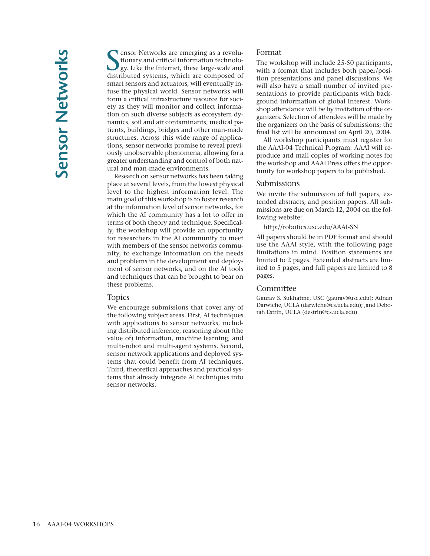Softworks are emerging as a revolutionary and critical information technology. Like the Internet, these large-scale and distributed systems, which are composed of **T** ensor Networks are emerging as a revolutionary and critical information technology. Like the Internet, these large-scale and smart sensors and actuators, will eventually infuse the physical world. Sensor networks will form a critical infrastructure resource for society as they will monitor and collect information on such diverse subjects as ecosystem dynamics, soil and air contaminants, medical patients, buildings, bridges and other man-made structures. Across this wide range of applications, sensor networks promise to reveal previously unobservable phenomena, allowing for a greater understanding and control of both natural and man-made environments.

Research on sensor networks has been taking place at several levels, from the lowest physical level to the highest information level. The main goal of this workshop is to foster research at the information level of sensor networks, for which the AI community has a lot to offer in terms of both theory and technique. Specifically, the workshop will provide an opportunity for researchers in the AI community to meet with members of the sensor networks community, to exchange information on the needs and problems in the development and deployment of sensor networks, and on the AI tools and techniques that can be brought to bear on these problems.

## Topics

We encourage submissions that cover any of the following subject areas. First, AI techniques with applications to sensor networks, including distributed inference, reasoning about (the value of) information, machine learning, and multi-robot and multi-agent systems. Second, sensor network applications and deployed systems that could benefit from AI techniques. Third, theoretical approaches and practical systems that already integrate AI techniques into sensor networks.

#### Format

The workshop will include 25-50 participants, with a format that includes both paper/position presentations and panel discussions. We will also have a small number of invited presentations to provide participants with background information of global interest. Workshop attendance will be by invitation of the organizers. Selection of attendees will be made by the organizers on the basis of submissions; the final list will be announced on April 20, 2004.

All workshop participants must register for the AAAI-04 Technical Program. AAAI will reproduce and mail copies of working notes for the workshop and AAAI Press offers the opportunity for workshop papers to be published.

#### Submissions

We invite the submission of full papers, extended abstracts, and position papers. All submissions are due on March 12, 2004 on the following website:

http://robotics.usc.edu/AAAI-SN

All papers should be in PDF format and should use the AAAI style, with the following page limitations in mind. Position statements are limited to 2 pages. Extended abstracts are limited to 5 pages, and full papers are limited to 8 pages.

#### Committee

Gaurav S. Sukhatme, USC (gaurav@usc.edu); Adnan Darwiche, UCLA (darwiche@cs.ucla.edu); ,and Deborah Estrin, UCLA (destrin@cs.ucla.edu)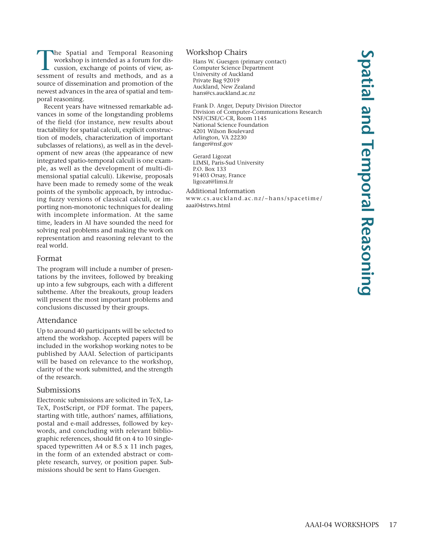The Spatial and Temporal Reasoning workshop is intended as a forum for discussion, exchange of points of view, assessment of results and methods, and as a source of dissemination and promotion of the newest advances in the area of spatial and temporal reasoning.

Recent years have witnessed remarkable advances in some of the longstanding problems of the field (for instance, new results about tractability for spatial calculi, explicit construction of models, characterization of important subclasses of relations), as well as in the development of new areas (the appearance of new integrated spatio-temporal calculi is one example, as well as the development of multi-dimensional spatial calculi). Likewise, proposals have been made to remedy some of the weak points of the symbolic approach, by introducing fuzzy versions of classical calculi, or importing non-monotonic techniques for dealing with incomplete information. At the same time, leaders in AI have sounded the need for solving real problems and making the work on representation and reasoning relevant to the real world.

## Format

The program will include a number of presentations by the invitees, followed by breaking up into a few subgroups, each with a different subtheme. After the breakouts, group leaders will present the most important problems and conclusions discussed by their groups.

## Attendance

Up to around 40 participants will be selected to attend the workshop. Accepted papers will be included in the workshop working notes to be published by AAAI. Selection of participants will be based on relevance to the workshop, clarity of the work submitted, and the strength of the research.

## Submissions

Electronic submissions are solicited in TeX, La-TeX, PostScript, or PDF format. The papers, starting with title, authors' names, affiliations, postal and e-mail addresses, followed by keywords, and concluding with relevant bibliographic references, should fit on 4 to 10 singlespaced typewritten A4 or 8.5 x 11 inch pages, in the form of an extended abstract or complete research, survey, or position paper. Submissions should be sent to Hans Guesgen.

## Workshop Chairs

Hans W. Guesgen (primary contact) Computer Science Department University of Auckland Private Bag 92019 Auckland, New Zealand hans@cs.auckland.ac.nz

Frank D. Anger, Deputy Division Director Division of Computer-Communications Research NSF/CISE/C-CR, Room 1145 National Science Foundation 4201 Wilson Boulevard Arlington, VA 22230 fanger@nsf.gov

Gerard Ligozat LIMSI, Paris-Sud University P.O. Box 133 91403 Orsay, France ligozat@limsi.fr

Additional Information www.cs.auckland.ac.nz/~hans/spacetime/ aaai04strws.html